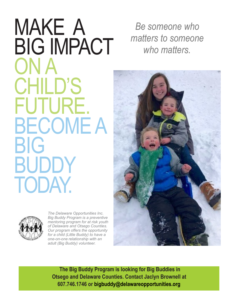## MAKE A BIG IMPACT ON A CHILD'S FUTURE. BECOME A BIG BUDDY TODAY.



*The Delaware Opportunities Inc. Big Buddy Program is a preventive mentoring program for at risk youth of Delaware and Otsego Counties. Our program offers the opportunity for a child (Little Buddy) to have a one-on-one relationship with an adult (Big Buddy) volunteer.*

*Be someone who matters to someone who matters.*



**The Big Buddy Program is looking for Big Buddies in Otsego and Delaware Counties. Contact Jaclyn Brownell at 607.746.1746 or [bigbuddy@delawareopportunities.org](mailto:bigbuddy@delawareopportunities.org)**